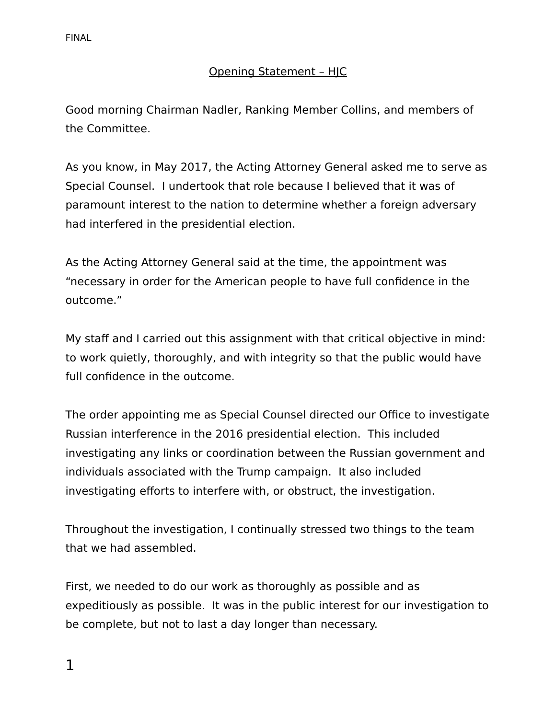## Opening Statement – HJC

Good morning Chairman Nadler, Ranking Member Collins, and members of the Committee.

As you know, in May 2017, the Acting Attorney General asked me to serve as Special Counsel. I undertook that role because I believed that it was of paramount interest to the nation to determine whether a foreign adversary had interfered in the presidential election.

As the Acting Attorney General said at the time, the appointment was "necessary in order for the American people to have full confidence in the outcome."

My staff and I carried out this assignment with that critical objective in mind: to work quietly, thoroughly, and with integrity so that the public would have full confidence in the outcome.

The order appointing me as Special Counsel directed our Office to investigate Russian interference in the 2016 presidential election. This included investigating any links or coordination between the Russian government and individuals associated with the Trump campaign. It also included investigating efforts to interfere with, or obstruct, the investigation.

Throughout the investigation, I continually stressed two things to the team that we had assembled.

First, we needed to do our work as thoroughly as possible and as expeditiously as possible. It was in the public interest for our investigation to be complete, but not to last a day longer than necessary.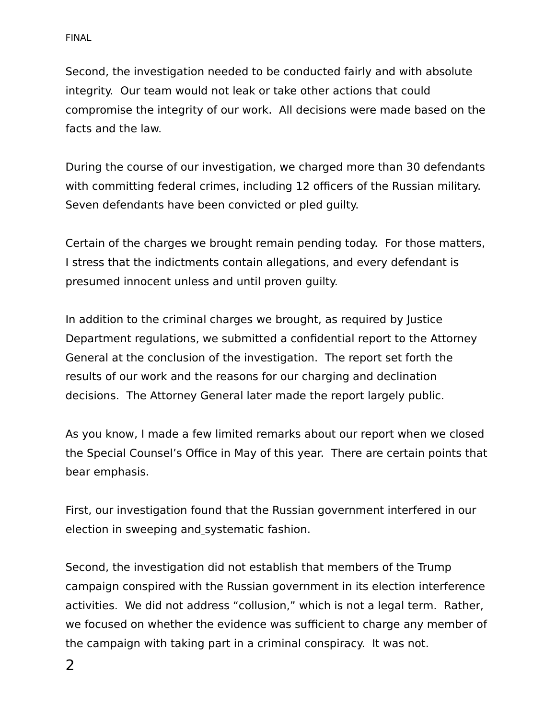FINAL

Second, the investigation needed to be conducted fairly and with absolute integrity. Our team would not leak or take other actions that could compromise the integrity of our work. All decisions were made based on the facts and the law.

During the course of our investigation, we charged more than 30 defendants with committing federal crimes, including 12 officers of the Russian military. Seven defendants have been convicted or pled guilty.

Certain of the charges we brought remain pending today. For those matters, I stress that the indictments contain allegations, and every defendant is presumed innocent unless and until proven guilty.

In addition to the criminal charges we brought, as required by Justice Department regulations, we submitted a confidential report to the Attorney General at the conclusion of the investigation. The report set forth the results of our work and the reasons for our charging and declination decisions. The Attorney General later made the report largely public.

As you know, I made a few limited remarks about our report when we closed the Special Counsel's Office in May of this year. There are certain points that bear emphasis.

First, our investigation found that the Russian government interfered in our election in sweeping and systematic fashion.

Second, the investigation did not establish that members of the Trump campaign conspired with the Russian government in its election interference activities. We did not address "collusion," which is not a legal term. Rather, we focused on whether the evidence was sufficient to charge any member of the campaign with taking part in a criminal conspiracy. It was not.

2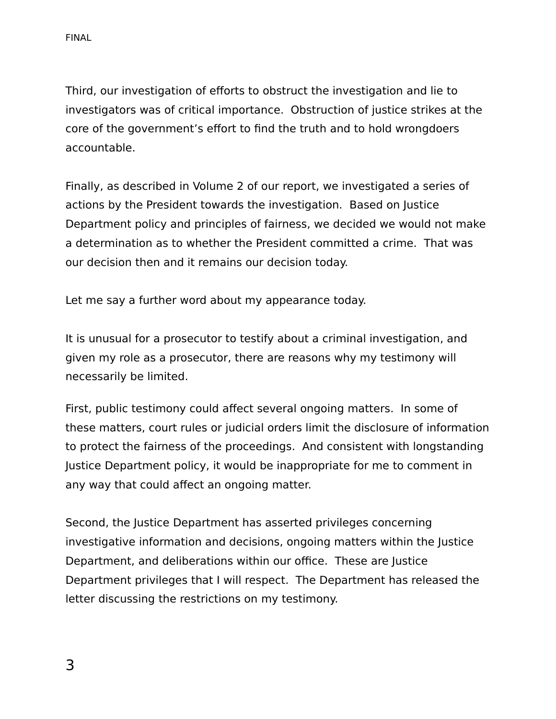Third, our investigation of efforts to obstruct the investigation and lie to investigators was of critical importance. Obstruction of justice strikes at the core of the government's effort to find the truth and to hold wrongdoers accountable.

Finally, as described in Volume 2 of our report, we investigated a series of actions by the President towards the investigation. Based on Justice Department policy and principles of fairness, we decided we would not make a determination as to whether the President committed a crime. That was our decision then and it remains our decision today.

Let me say a further word about my appearance today.

It is unusual for a prosecutor to testify about a criminal investigation, and given my role as a prosecutor, there are reasons why my testimony will necessarily be limited.

First, public testimony could affect several ongoing matters. In some of these matters, court rules or judicial orders limit the disclosure of information to protect the fairness of the proceedings. And consistent with longstanding Justice Department policy, it would be inappropriate for me to comment in any way that could affect an ongoing matter.

Second, the Justice Department has asserted privileges concerning investigative information and decisions, ongoing matters within the Justice Department, and deliberations within our office. These are Justice Department privileges that I will respect. The Department has released the letter discussing the restrictions on my testimony.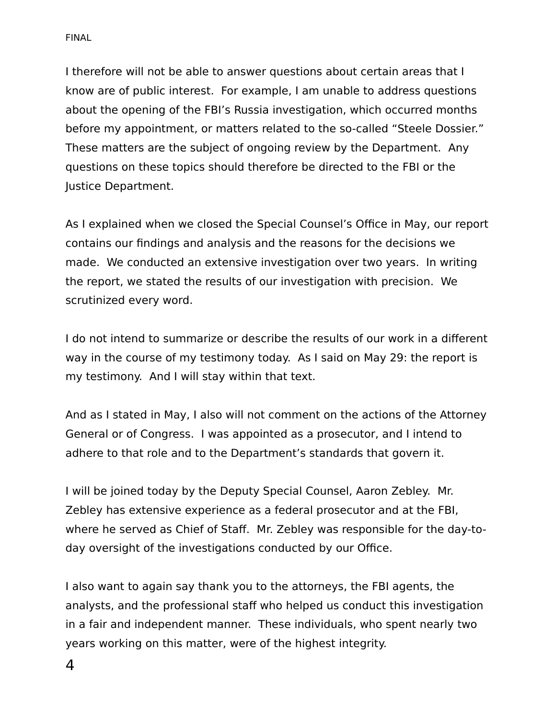FINAL

I therefore will not be able to answer questions about certain areas that I know are of public interest. For example, I am unable to address questions about the opening of the FBI's Russia investigation, which occurred months before my appointment, or matters related to the so-called "Steele Dossier." These matters are the subject of ongoing review by the Department. Any questions on these topics should therefore be directed to the FBI or the Justice Department.

As I explained when we closed the Special Counsel's Office in May, our report contains our findings and analysis and the reasons for the decisions we made. We conducted an extensive investigation over two years. In writing the report, we stated the results of our investigation with precision. We scrutinized every word.

I do not intend to summarize or describe the results of our work in a different way in the course of my testimony today. As I said on May 29: the report is my testimony. And I will stay within that text.

And as I stated in May, I also will not comment on the actions of the Attorney General or of Congress. I was appointed as a prosecutor, and I intend to adhere to that role and to the Department's standards that govern it.

I will be joined today by the Deputy Special Counsel, Aaron Zebley. Mr. Zebley has extensive experience as a federal prosecutor and at the FBI, where he served as Chief of Staff. Mr. Zebley was responsible for the day-today oversight of the investigations conducted by our Office.

I also want to again say thank you to the attorneys, the FBI agents, the analysts, and the professional staff who helped us conduct this investigation in a fair and independent manner. These individuals, who spent nearly two years working on this matter, were of the highest integrity.

4